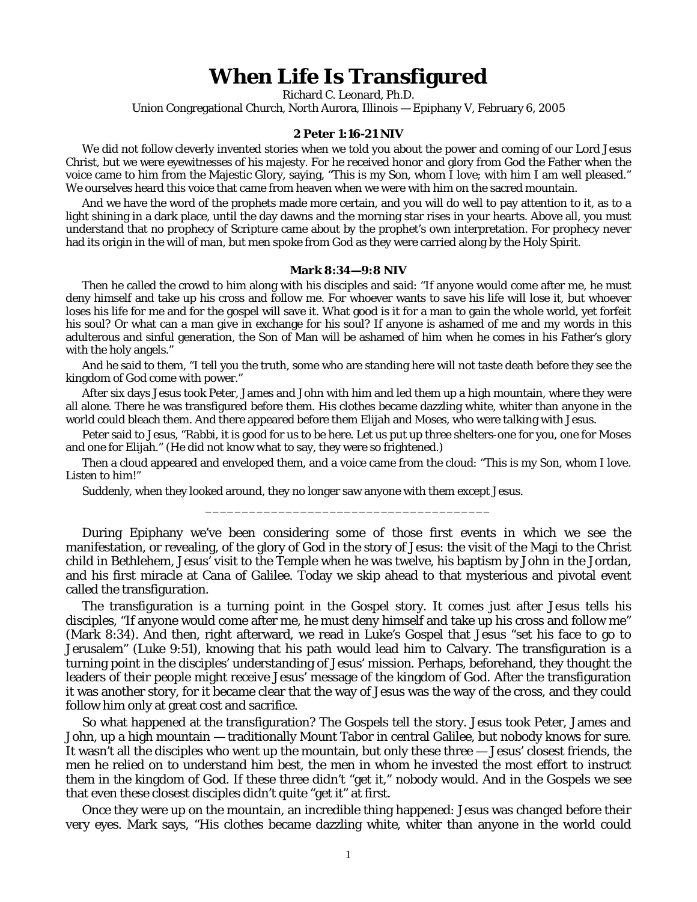## **When Life Is Transfigured**

Richard C. Leonard, Ph.D.

Union Congregational Church, North Aurora, Illinois — Epiphany V, February 6, 2005

## **2 Peter 1:16-21 NIV**

We did not follow cleverly invented stories when we told you about the power and coming of our Lord Jesus Christ, but we were eyewitnesses of his majesty. For he received honor and glory from God the Father when the voice came to him from the Majestic Glory, saying, "This is my Son, whom I love; with him I am well pleased." We ourselves heard this voice that came from heaven when we were with him on the sacred mountain.

And we have the word of the prophets made more certain, and you will do well to pay attention to it, as to a light shining in a dark place, until the day dawns and the morning star rises in your hearts. Above all, you must understand that no prophecy of Scripture came about by the prophet's own interpretation. For prophecy never had its origin in the will of man, but men spoke from God as they were carried along by the Holy Spirit.

## **Mark 8:34—9:8 NIV**

Then he called the crowd to him along with his disciples and said: "If anyone would come after me, he must deny himself and take up his cross and follow me. For whoever wants to save his life will lose it, but whoever loses his life for me and for the gospel will save it. What good is it for a man to gain the whole world, yet forfeit his soul? Or what can a man give in exchange for his soul? If anyone is ashamed of me and my words in this adulterous and sinful generation, the Son of Man will be ashamed of him when he comes in his Father's glory with the holy angels."

And he said to them, "I tell you the truth, some who are standing here will not taste death before they see the kingdom of God come with power."

After six days Jesus took Peter, James and John with him and led them up a high mountain, where they were all alone. There he was transfigured before them. His clothes became dazzling white, whiter than anyone in the world could bleach them. And there appeared before them Elijah and Moses, who were talking with Jesus.

Peter said to Jesus, "Rabbi, it is good for us to be here. Let us put up three shelters-one for you, one for Moses and one for Elijah." (He did not know what to say, they were so frightened.)

Then a cloud appeared and enveloped them, and a voice came from the cloud: "This is my Son, whom I love. Listen to him!"

\_\_\_\_\_\_\_\_\_\_\_\_\_\_\_\_\_\_\_\_\_\_\_\_\_\_\_\_\_\_\_\_\_\_\_\_\_\_\_

Suddenly, when they looked around, they no longer saw anyone with them except Jesus.

During Epiphany we've been considering some of those first events in which we see the manifestation, or revealing, of the glory of God in the story of Jesus: the visit of the Magi to the Christ child in Bethlehem, Jesus' visit to the Temple when he was twelve, his baptism by John in the Jordan, and his first miracle at Cana of Galilee. Today we skip ahead to that mysterious and pivotal event called the transfiguration.

The transfiguration is a turning point in the Gospel story. It comes just after Jesus tells his disciples, "If anyone would come after me, he must deny himself and take up his cross and follow me" (Mark 8:34). And then, right afterward, we read in Luke's Gospel that Jesus "set his face to go to Jerusalem" (Luke 9:51), knowing that his path would lead him to Calvary. The transfiguration is a turning point in the disciples' understanding of Jesus' mission. Perhaps, beforehand, they thought the leaders of their people might receive Jesus' message of the kingdom of God. After the transfiguration it was another story, for it became clear that the way of Jesus was the way of the cross, and they could follow him only at great cost and sacrifice.

So what happened at the transfiguration? The Gospels tell the story. Jesus took Peter, James and John, up a high mountain — traditionally Mount Tabor in central Galilee, but nobody knows for sure. It wasn't all the disciples who went up the mountain, but only these three — Jesus' closest friends, the men he relied on to understand him best, the men in whom he invested the most effort to instruct them in the kingdom of God. If these three didn't "get it," nobody would. And in the Gospels we see that even these closest disciples didn't quite "get it" at first.

Once they were up on the mountain, an incredible thing happened: Jesus was changed before their very eyes. Mark says, "His clothes became dazzling white, whiter than anyone in the world could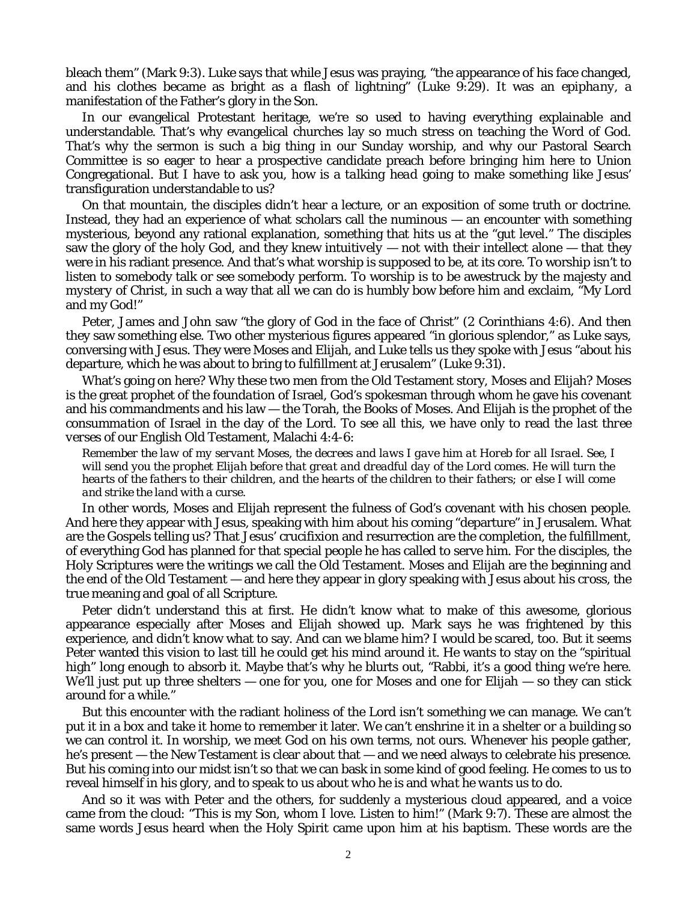bleach them" (Mark 9:3). Luke says that while Jesus was praying, "the appearance of his face changed, and his clothes became as bright as a flash of lightning" (Luke 9:29). It was an *epiphany*, a manifestation of the Father's glory in the Son.

In our evangelical Protestant heritage, we're so used to having everything explainable and understandable. That's why evangelical churches lay so much stress on teaching the Word of God. That's why the sermon is such a big thing in our Sunday worship, and why our Pastoral Search Committee is so eager to hear a prospective candidate preach before bringing him here to Union Congregational. But I have to ask you, how is a *talking head* going to make something like Jesus' transfiguration understandable to us?

On that mountain, the disciples didn't hear a lecture, or an exposition of some truth or doctrine. Instead, they had an experience of what scholars call the *numinous* — an encounter with something mysterious, beyond any rational explanation, something that hits us at the "gut level." The disciples saw the glory of the holy God, and they knew *intuitively* — not with their intellect alone — that they were in his radiant presence. And that's what *worship* is supposed to be, at its core. To worship isn't to listen to somebody talk or see somebody perform. To worship is to be awestruck by the majesty and *mystery* of Christ, in such a way that all we can do is humbly bow before him and exclaim, "My Lord and my God!"

Peter, James and John saw "the glory of God in the face of Christ" (2 Corinthians 4:6). And then they saw something else. Two other mysterious figures appeared "in glorious splendor," as Luke says, conversing with Jesus. They were Moses and Elijah, and Luke tells us they spoke with Jesus "about his departure, which he was about to bring to fulfillment at Jerusalem" (Luke 9:31).

What's going on here? Why these two men from the Old Testament story, Moses and Elijah? Moses is the great prophet of the *foundation* of Israel, God's spokesman through whom he gave his covenant and his commandments and his law — the Torah, the Books of Moses. And Elijah is the prophet of the *consummation* of Israel in the day of the Lord. To see all this, we have only to read the *last three verses* of our English Old Testament, Malachi 4:4-6:

*Remember the law of my servant Moses, the decrees and laws I gave him at Horeb for all Israel. See, I will send you the prophet Elijah before that great and dreadful day of the Lord comes. He will turn the hearts of the fathers to their children, and the hearts of the children to their fathers; or else I will come and strike the land with a curse.*

In other words, Moses and Elijah represent the fulness of God's covenant with his chosen people. And here they appear with Jesus, speaking with him about his coming "departure" in Jerusalem. What are the Gospels telling us? That Jesus' crucifixion and resurrection are the completion, the fulfillment, of everything God has planned for that special people he has called to serve him. For the disciples, the Holy Scriptures were the writings we call the Old Testament. Moses and Elijah are the beginning and the end of the Old Testament — and here they appear in glory speaking with Jesus about *his cross*, the true meaning and goal of all Scripture.

Peter didn't understand this at first. He didn't know what to make of this awesome, glorious appearance especially after Moses and Elijah showed up. Mark says he was frightened by this experience, and didn't know what to say. And can we blame him? I would be scared, too. But it seems Peter wanted this vision to last till he could get his mind around it. He wants to stay on the "spiritual high" long enough to absorb it. Maybe that's why he blurts out, "Rabbi, it's a good thing *we're* here. We'll just put up three shelters — one for you, one for Moses and one for Elijah — so they can stick around for a while."

But this encounter with the radiant holiness of the Lord isn't something we can manage. We can't put it in a box and take it home to remember it later. We can't enshrine it in a shelter or a building so we can control it. In worship, we meet God on his own terms, not ours. Whenever his people gather, he's present — the New Testament is clear about that — and we need always to celebrate his presence. But his coming into our midst isn't so that we can bask in some kind of good feeling. He comes to us to reveal himself in his glory, and to speak to us about *who he is* and *what he wants us to do.*

And so it was with Peter and the others, for suddenly a mysterious cloud appeared, and a voice came from the cloud: "This is my Son, whom I love. Listen to him!" (Mark 9:7). These are almost the same words Jesus heard when the Holy Spirit came upon him at his baptism. These words are the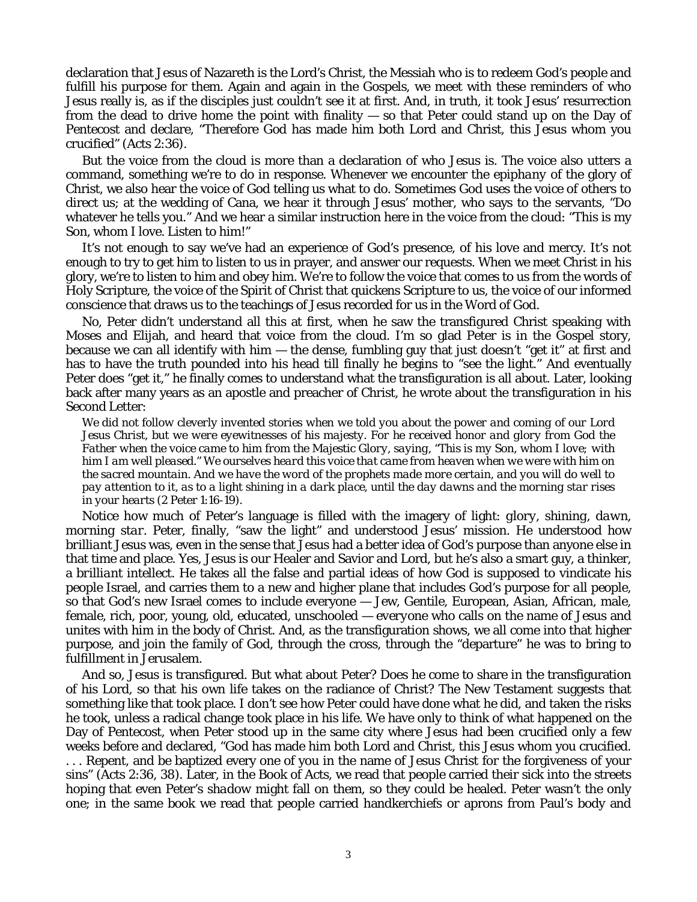declaration that Jesus of Nazareth is the Lord's Christ, the Messiah who is to redeem God's people and fulfill his purpose for them. Again and again in the Gospels, we meet with these reminders of who Jesus really is, as if the disciples just couldn't see it at first. And, in truth, it took Jesus' resurrection from the dead to drive home the point with finality — so that Peter could stand up on the Day of Pentecost and declare, "Therefore God has made him both Lord and Christ, this Jesus whom you crucified" (Acts 2:36).

But the voice from the cloud is more than a declaration of who Jesus is. The voice also utters a command, something we're to do in response. Whenever we encounter the *epiphany* of the glory of Christ, we also hear the voice of God telling us what to do. Sometimes God uses the voice of others to direct us; at the wedding of Cana, we hear it through Jesus' mother, who says to the servants, "Do whatever he tells you." And we hear a similar instruction here in the voice from the cloud: "This is my Son, whom I love. Listen to him!"

It's not enough to say we've had an experience of God's presence, of his love and mercy. It's not enough to try to get him to *listen to us* in prayer, and answer our requests. When we meet Christ in his glory, we're to *listen to him* and obey him. We're to follow the voice that comes to us from the words of Holy Scripture, the voice of the Spirit of Christ that quickens Scripture to us, the voice of our informed conscience that draws us to the teachings of Jesus recorded for us in the Word of God.

No, Peter didn't understand all this at first, when he saw the transfigured Christ speaking with Moses and Elijah, and heard that voice from the cloud. I'm so glad Peter is in the Gospel story, because we can all identify with him — the dense, fumbling guy that just doesn't "get it" at first and has to have the truth pounded into his head till finally he begins to "see the light." And eventually Peter does "get it," he finally comes to understand what the transfiguration is all about. Later, looking back after many years as an apostle and preacher of Christ, he wrote about the transfiguration in his Second Letter:

*We did not follow cleverly invented stories when we told you about the power and coming of our Lord Jesus Christ, but we were eyewitnesses of his majesty. For he received honor and glory from God the Father when the voice came to him from the Majestic Glory, saying, "This is my Son, whom I love; with him I am well pleased." We ourselves heard this voice that came from heaven when we were with him on the sacred mountain. And we have the word of the prophets made more certain, and you will do well to pay attention to it, as to a light shining in a dark place, until the day dawns and the morning star rises in your hearts* (2 Peter 1:16-19).

Notice how much of Peter's language is filled with the imagery of light: *glory, shining, dawn, morning star*. Peter, finally, "saw the light" and understood Jesus' mission. He understood how *brilliant* Jesus was, even in the sense that Jesus had a better idea of God's purpose than anyone else in that time and place. Yes, Jesus is our Healer and Savior and Lord, but he's also a smart guy, a thinker, a *brilliant intellect*. He takes all the false and partial ideas of how God is supposed to vindicate his people Israel, and carries them to a new and higher plane that includes God's purpose for *all* people, so that God's new Israel comes to include everyone — Jew, Gentile, European, Asian, African, male, female, rich, poor, young, old, educated, unschooled — *everyone* who calls on the name of Jesus and unites with him in the body of Christ. And, as the transfiguration shows, we all come into that higher purpose, and join the family of God, through the cross, through the "departure" he was to bring to fulfillment in Jerusalem.

And so, Jesus is transfigured. But what about Peter? Does he come to share in the transfiguration of his Lord, so that his own life takes on the radiance of Christ? The New Testament suggests that something like that took place. I don't see how Peter could have done what he did, and taken the risks he took, unless a radical change took place in his life. We have only to think of what happened on the Day of Pentecost, when Peter stood up in the same city where Jesus had been crucified only a few weeks before and declared, "God has made him both Lord and Christ, this Jesus whom you crucified. . . . Repent, and be baptized every one of you in the name of Jesus Christ for the forgiveness of your sins" (Acts 2:36, 38). Later, in the Book of Acts, we read that people carried their sick into the streets hoping that even Peter's *shadow* might fall on them, so they could be healed. Peter wasn't the only one; in the same book we read that people carried handkerchiefs or aprons from Paul's body and